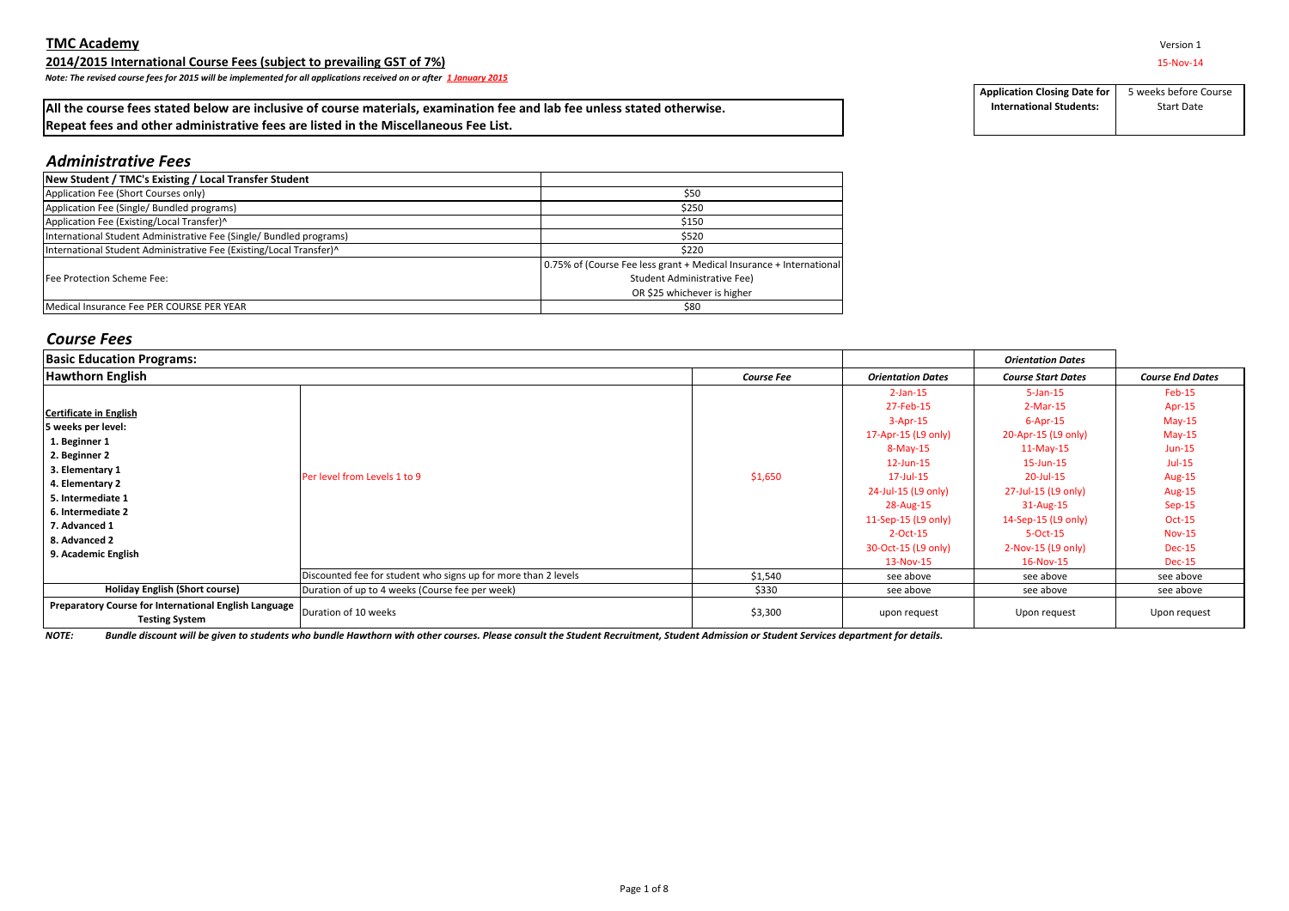**2014/2015 International Course Fees (subject to prevailing GST of 7%)** 15-Nov-14

*Note: The revised course fees for 2015 will be implemented for all applications received on or after 1 January 2015*

## **All the course fees stated below are inclusive of course materials, examination fee and lab fee unless stated otherwise. Repeat fees and other administrative fees are listed in the Miscellaneous Fee List.**

**Application Closing Date for International Students:** 5 weeks before Course Start Date

# *Administrative Fees*

| New Student / TMC's Existing / Local Transfer Student               |                                                                     |
|---------------------------------------------------------------------|---------------------------------------------------------------------|
| Application Fee (Short Courses only)                                | \$50                                                                |
| Application Fee (Single/ Bundled programs)                          | \$250                                                               |
| Application Fee (Existing/Local Transfer)^                          | \$150                                                               |
| International Student Administrative Fee (Single/ Bundled programs) | \$520                                                               |
| International Student Administrative Fee (Existing/Local Transfer)^ | \$220                                                               |
|                                                                     | 0.75% of (Course Fee less grant + Medical Insurance + International |
| Fee Protection Scheme Fee:                                          | Student Administrative Fee)                                         |
|                                                                     | OR \$25 whichever is higher                                         |
| Medical Insurance Fee PER COURSE PER YEAR                           | \$80                                                                |

## *Course Fees*

| <b>Basic Education Programs:</b>                                                            |                                                                |                   |                          | <b>Orientation Dates</b>  |                         |
|---------------------------------------------------------------------------------------------|----------------------------------------------------------------|-------------------|--------------------------|---------------------------|-------------------------|
| <b>Hawthorn English</b>                                                                     |                                                                | <b>Course Fee</b> | <b>Orientation Dates</b> | <b>Course Start Dates</b> | <b>Course End Dates</b> |
|                                                                                             |                                                                |                   | $2$ -Jan-15              | $5$ -Jan-15               | Feb-15                  |
| <b>Certificate in English</b>                                                               |                                                                |                   | 27-Feb-15                | $2-Mar-15$                | Apr-15                  |
| 5 weeks per level:                                                                          |                                                                |                   | $3 - Apr - 15$           | $6 - Apr - 15$            | $May-15$                |
| 1. Beginner 1                                                                               | Per level from Levels 1 to 9                                   |                   | 17-Apr-15 (L9 only)      | 20-Apr-15 (L9 only)       | $May-15$                |
|                                                                                             |                                                                | \$1,650           | $8-May-15$               | $11-May-15$               | $Jun-15$                |
| 2. Beginner 2                                                                               |                                                                |                   | $12$ -Jun- $15$          | 15-Jun-15                 | $Jul-15$                |
| 3. Elementary 1                                                                             |                                                                |                   | 17-Jul-15                | 20-Jul-15                 | <b>Aug-15</b>           |
| 4. Elementary 2                                                                             |                                                                |                   | 24-Jul-15 (L9 only)      | 27-Jul-15 (L9 only)       | <b>Aug-15</b>           |
| 5. Intermediate 1                                                                           |                                                                |                   | 28-Aug-15                | 31-Aug-15                 | $Sep-15$                |
| 6. Intermediate 2                                                                           |                                                                |                   | 11-Sep-15 (L9 only)      | 14-Sep-15 (L9 only)       | <b>Oct-15</b>           |
| 7. Advanced 1                                                                               |                                                                |                   | $2$ -Oct-15              | 5-Oct-15                  | <b>Nov-15</b>           |
| 8. Advanced 2                                                                               |                                                                |                   | 30-Oct-15 (L9 only)      | $2-Nov-15$ (L9 only)      | <b>Dec-15</b>           |
| 9. Academic English                                                                         |                                                                |                   | 13-Nov-15                | 16-Nov-15                 | <b>Dec-15</b>           |
|                                                                                             | Discounted fee for student who signs up for more than 2 levels | \$1,540           | see above                | see above                 | see above               |
| <b>Holiday English (Short course)</b>                                                       | Duration of up to 4 weeks (Course fee per week)                | \$330             | see above                | see above                 | see above               |
| Preparatory Course for International English Language $\vert_{\text{Duration of 10 weeks}}$ |                                                                |                   |                          |                           |                         |
| <b>Testing System</b>                                                                       |                                                                | \$3,300           | upon request             | Upon request              | Upon request            |

*NOTE: Bundle discount will be given to students who bundle Hawthorn with other courses. Please consult the Student Recruitment, Student Admission or Student Services department for details.*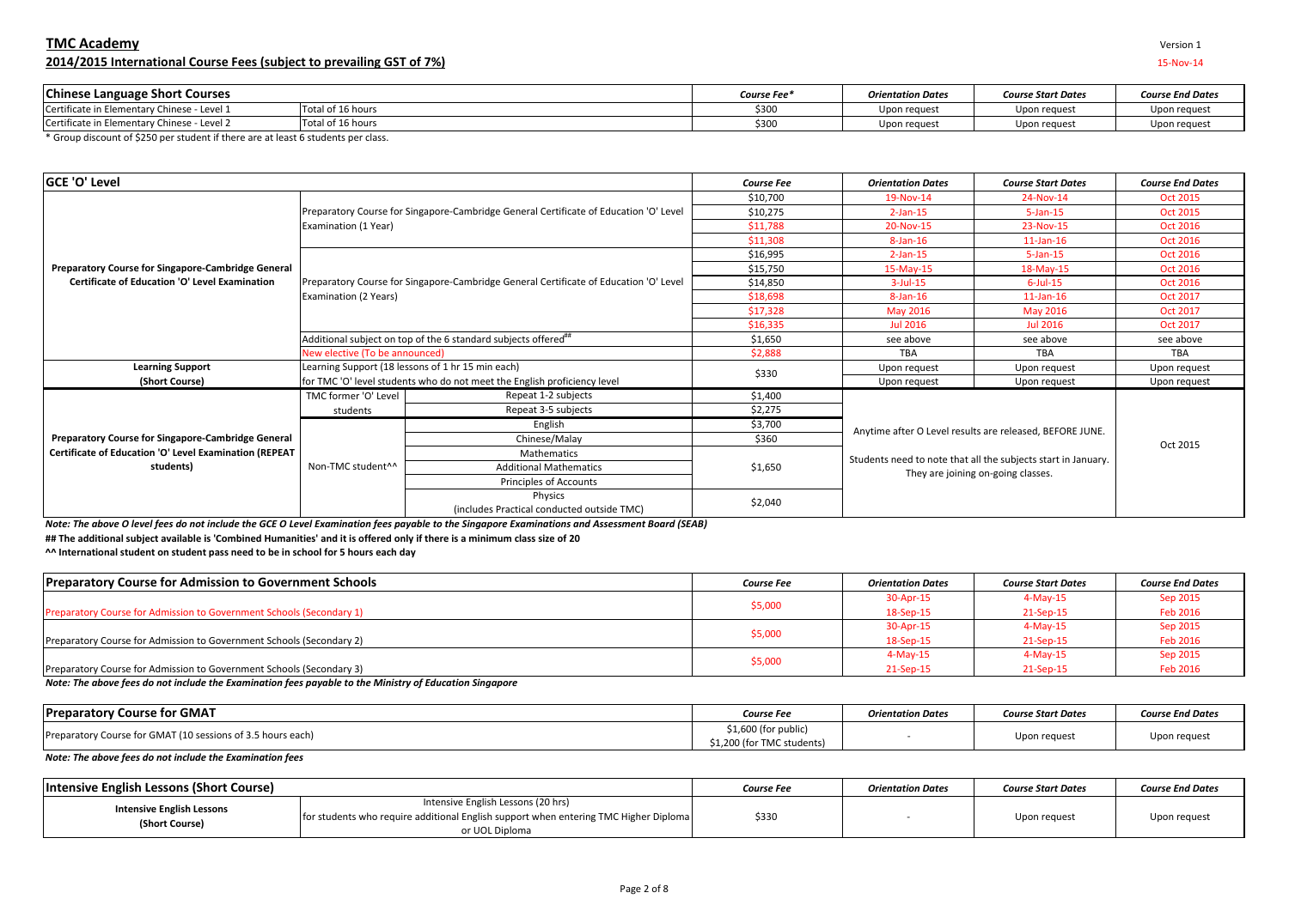## **TMC Academy** Version 1 **2014/2015 International Course Fees (subject to prevailing GST of 7%)** 15-Nov-14

| Version |  |
|---------|--|
|         |  |

| <b>Chinese Language Short Courses</b>            |                   | Course Fee* | <b>Orientation Dates</b> | <b>Course Start Dates</b> | <b>Course End Dates</b> |
|--------------------------------------------------|-------------------|-------------|--------------------------|---------------------------|-------------------------|
| Certificate<br>n Elementary Chinese - Level 1 ت. | Total of 16 hours | 3300        | Upon request             | Upon request              | Upon request            |
| Certificate<br>. in Elementary Chinese - Level 2 | Total of 16 hours | 330r        | Upon request             | Upon request              | Upon request            |

\* Group discount of \$250 per student if there are at least 6 students per class.

| <b>GCE 'O' Level</b>                                                                                                                                     |                                |                                                                                       | <b>Course Fee</b> | <b>Orientation Dates</b>                                                                                                                                        | <b>Course Start Dates</b> | <b>Course End Dates</b> |
|----------------------------------------------------------------------------------------------------------------------------------------------------------|--------------------------------|---------------------------------------------------------------------------------------|-------------------|-----------------------------------------------------------------------------------------------------------------------------------------------------------------|---------------------------|-------------------------|
|                                                                                                                                                          |                                |                                                                                       | \$10,700          | 19-Nov-14                                                                                                                                                       | 24-Nov-14                 | <b>Oct 2015</b>         |
|                                                                                                                                                          |                                | Preparatory Course for Singapore-Cambridge General Certificate of Education 'O' Level | \$10,275          | $2$ -Jan-15                                                                                                                                                     | $5-$ Jan $-15$            | <b>Oct 2015</b>         |
| Preparatory Course for Singapore-Cambridge General<br><b>Certificate of Education 'O' Level Examination</b><br><b>Learning Support</b><br>(Short Course) | Examination (1 Year)           |                                                                                       | \$11,788          | 20-Nov-15                                                                                                                                                       | 23-Nov-15                 | <b>Oct 2016</b>         |
|                                                                                                                                                          |                                |                                                                                       | \$11,308          | $8$ -Jan-16                                                                                                                                                     | $11$ -Jan-16              | <b>Oct 2016</b>         |
|                                                                                                                                                          |                                |                                                                                       | \$16,995          | $2$ -Jan-15                                                                                                                                                     | $5-$ Jan $-15$            | <b>Oct 2016</b>         |
|                                                                                                                                                          |                                |                                                                                       | \$15,750          | 15-May-15                                                                                                                                                       | 18-May-15                 | <b>Oct 2016</b>         |
|                                                                                                                                                          |                                | Preparatory Course for Singapore-Cambridge General Certificate of Education 'O' Level | \$14,850          | $3$ -Jul-15                                                                                                                                                     | $6$ -Jul-15               | <b>Oct 2016</b>         |
|                                                                                                                                                          | Examination (2 Years)          |                                                                                       | \$18,698          | $8$ -Jan-16                                                                                                                                                     | $11$ -Jan-16              | <b>Oct 2017</b>         |
|                                                                                                                                                          |                                |                                                                                       | \$17,328          | <b>May 2016</b>                                                                                                                                                 | May 2016                  | <b>Oct 2017</b>         |
|                                                                                                                                                          |                                |                                                                                       | \$16,335          | <b>Jul 2016</b>                                                                                                                                                 | <b>Jul 2016</b>           | <b>Oct 2017</b>         |
|                                                                                                                                                          |                                | Additional subject on top of the 6 standard subjects offered"                         | \$1,650           | see above                                                                                                                                                       | see above                 | see above               |
|                                                                                                                                                          | New elective (To be announced) |                                                                                       | \$2,888           | <b>TBA</b>                                                                                                                                                      | <b>TBA</b>                | <b>TBA</b>              |
|                                                                                                                                                          |                                | Learning Support (18 lessons of 1 hr 15 min each)                                     | \$330             | Upon request                                                                                                                                                    | Upon request              |                         |
|                                                                                                                                                          |                                | for TMC 'O' level students who do not meet the English proficiency level              |                   | Upon request                                                                                                                                                    | Upon request              | Upon request            |
|                                                                                                                                                          | TMC former 'O' Level           | Repeat 1-2 subjects                                                                   | \$1,400           |                                                                                                                                                                 |                           |                         |
|                                                                                                                                                          | students                       | Repeat 3-5 subjects                                                                   | \$2,275           |                                                                                                                                                                 |                           |                         |
|                                                                                                                                                          |                                | English                                                                               | \$3,700           |                                                                                                                                                                 |                           |                         |
| Preparatory Course for Singapore-Cambridge General                                                                                                       |                                | Chinese/Malay                                                                         | \$360             | Anytime after O Level results are released, BEFORE JUNE.<br>Students need to note that all the subjects start in January.<br>They are joining on-going classes. |                           | Oct 2015                |
| Certificate of Education 'O' Level Examination (REPEAT                                                                                                   |                                | <b>Mathematics</b>                                                                    |                   |                                                                                                                                                                 |                           |                         |
| students)                                                                                                                                                | Non-TMC student <sup>^^</sup>  | <b>Additional Mathematics</b>                                                         | \$1,650           |                                                                                                                                                                 |                           |                         |
|                                                                                                                                                          |                                | Principles of Accounts                                                                |                   |                                                                                                                                                                 |                           |                         |
|                                                                                                                                                          |                                | Physics<br>(includes Practical conducted outside TMC)                                 | \$2,040           |                                                                                                                                                                 |                           |                         |

*Note: The above O level fees do not include the GCE O Level Examination fees payable to the Singapore Examinations and Assessment Board (SEAB)*

**## The additional subject available is 'Combined Humanities' and it is offered only if there is a minimum class size of 20**

**^^ International student on student pass need to be in school for 5 hours each day**

| <b>Preparatory Course for Admission to Government Schools</b>        | <b>Course Fee</b> | <b>Orientation Dates</b> | <b>Course Start Dates</b> | <b>Course End Dates</b> |
|----------------------------------------------------------------------|-------------------|--------------------------|---------------------------|-------------------------|
|                                                                      | \$5,000           | 30-Apr-15                | $4-May-15$                | Sep 2015                |
| Preparatory Course for Admission to Government Schools (Secondary 1) |                   | 18-Sep-15                | 21-Sep-15                 | Feb 2016                |
|                                                                      | \$5,000           | 30-Apr-15                | $4-May-15$                | Sep 2015                |
| Preparatory Course for Admission to Government Schools (Secondary 2) |                   | 18-Sep-15                | 21-Sep-15                 | Feb 2016                |
|                                                                      |                   | $4-May-15$               | 4-May-15                  | Sep 2015                |
| Preparatory Course for Admission to Government Schools (Secondary 3) | \$5,000           | 21-Sep-15                | 21-Sep-15                 | Feb 2016                |

## *Note: The above fees do not include the Examination fees payable to the Ministry of Education Singapore*

| <b>Preparatory Course for GMAT</b>                          | Course Fee                                        | <b>Orientation Dates</b> | <b>Course Start Dates</b> | <b>Course End Dates</b> |
|-------------------------------------------------------------|---------------------------------------------------|--------------------------|---------------------------|-------------------------|
| Preparatory Course for GMAT (10 sessions of 3.5 hours each) | \$1,600 (for public<br>\$1,200 (for TMC students) |                          | Upon request              | Upon request            |

*Note: The above fees do not include the Examination fees* 

| Intensive English Lessons (Short Course)           |                                                                                                                                              | Course Fee | <b>Orientation Dates</b> | <b>Course Start Dates</b> | <b>Course End Dates</b> |
|----------------------------------------------------|----------------------------------------------------------------------------------------------------------------------------------------------|------------|--------------------------|---------------------------|-------------------------|
| <b>Intensive English Lessons</b><br>(Short Course) | Intensive English Lessons (20 hrs)<br>for students who require additional English support when entering TMC Higher Diploma<br>or UOL Diploma | \$330      |                          | Upon request              | Upon request            |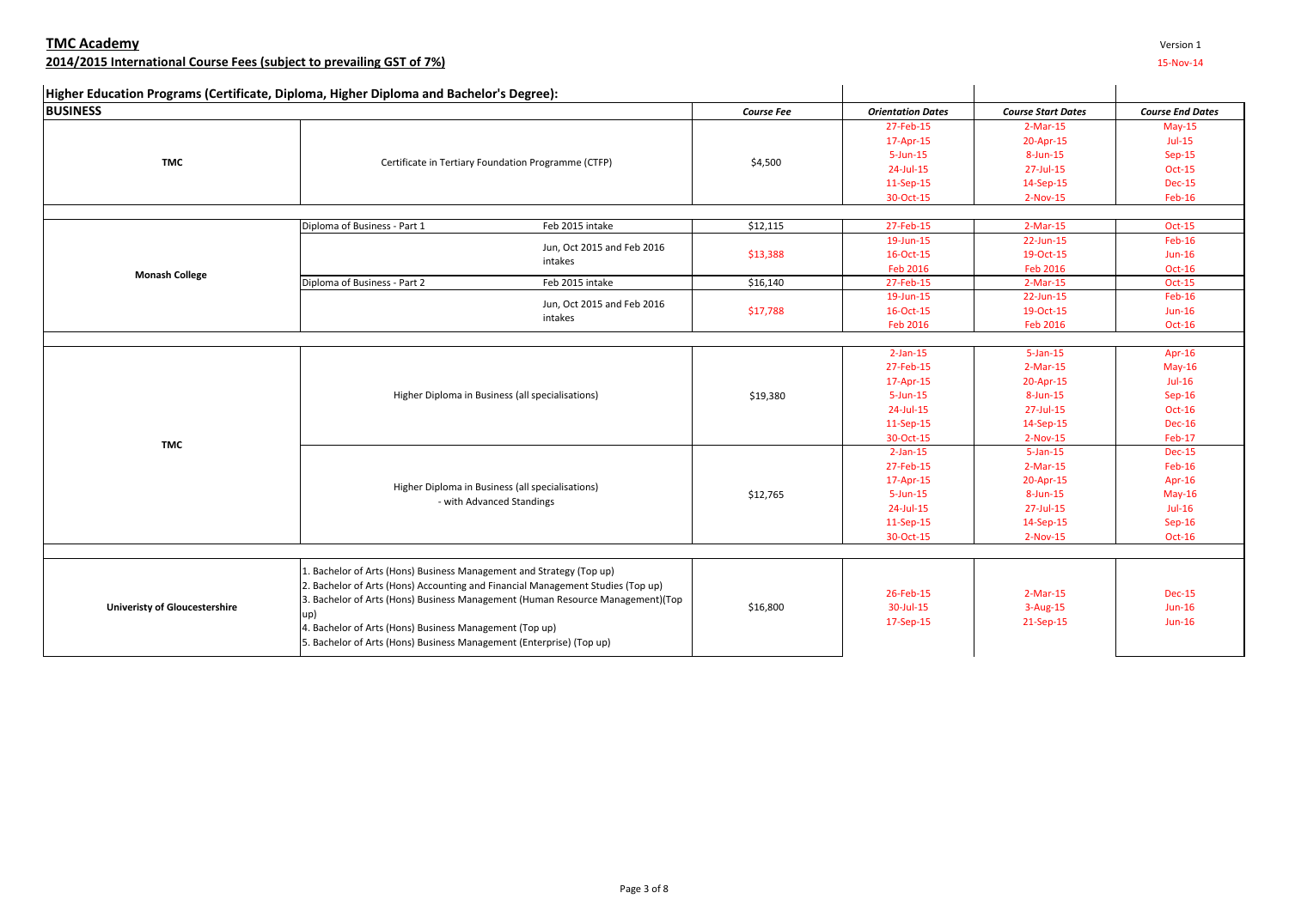| Version 1 |  |
|-----------|--|
|-----------|--|

# **2014/2015 International Course Fees (subject to prevailing GST of 7%)** 15-Nov-14

| <b>BUSINESS</b><br><b>Orientation Dates</b><br><b>Course Start Dates</b><br><b>Course End Dates</b><br><b>Course Fee</b><br>27-Feb-15<br>$2-Mar-15$<br>$May-15$<br>$Jul-15$<br>17-Apr-15<br>20-Apr-15<br>$Sep-15$<br>$5 - Jun - 15$<br>8-Jun-15<br><b>TMC</b><br>Certificate in Tertiary Foundation Programme (CTFP)<br>\$4,500<br>24-Jul-15<br>27-Jul-15<br><b>Oct-15</b><br>11-Sep-15<br>14-Sep-15<br><b>Dec-15</b><br>30-Oct-15<br>Feb-16<br>2-Nov-15<br>27-Feb-15<br>Diploma of Business - Part 1<br>Feb 2015 intake<br>\$12,115<br>$2-Mar-15$<br><b>Oct-15</b><br>19-Jun-15<br>22-Jun-15<br>Feb-16<br>Jun, Oct 2015 and Feb 2016<br>\$13,388<br>16-Oct-15<br>19-Oct-15<br>$Jun-16$<br>intakes<br>Feb 2016<br>Feb 2016<br><b>Oct-16</b><br><b>Monash College</b><br>Diploma of Business - Part 2<br>Feb 2015 intake<br>\$16,140<br>27-Feb-15<br>$2-Mar-15$<br><b>Oct-15</b><br>$Feb-16$<br>19-Jun-15<br>22-Jun-15<br>Jun, Oct 2015 and Feb 2016<br>\$17,788<br>16-Oct-15<br>19-Oct-15<br>$Jun-16$<br>intakes<br><b>Feb 2016</b><br>Feb 2016<br><b>Oct-16</b><br>$2$ -Jan-15<br>$5$ -Jan-15<br>Apr- $16$<br>27-Feb-15<br>$2-Mar-15$<br>$May-16$<br>17-Apr-15<br>20-Apr-15<br>$Jul-16$<br>Higher Diploma in Business (all specialisations)<br>$5 - Jun - 15$<br>8-Jun-15<br>$Sep-16$<br>\$19,380<br>24-Jul-15<br>27-Jul-15<br>Oct-16<br>11-Sep-15<br>14-Sep-15<br><b>Dec-16</b><br>30-Oct-15<br>Feb-17<br>2-Nov-15<br><b>TMC</b><br>$2$ -Jan-15<br>$5$ -Jan-15<br><b>Dec-15</b><br>27-Feb-15<br>$2-Mar-15$<br>$Feb-16$<br>Apr-16<br>17-Apr-15<br>20-Apr-15 |  | Higher Education Programs (Certificate, Diploma, Higher Diploma and Bachelor's Degree): |  |  |
|--------------------------------------------------------------------------------------------------------------------------------------------------------------------------------------------------------------------------------------------------------------------------------------------------------------------------------------------------------------------------------------------------------------------------------------------------------------------------------------------------------------------------------------------------------------------------------------------------------------------------------------------------------------------------------------------------------------------------------------------------------------------------------------------------------------------------------------------------------------------------------------------------------------------------------------------------------------------------------------------------------------------------------------------------------------------------------------------------------------------------------------------------------------------------------------------------------------------------------------------------------------------------------------------------------------------------------------------------------------------------------------------------------------------------------------------------------------------------------------------------------------------------------------------------------------|--|-----------------------------------------------------------------------------------------|--|--|
|                                                                                                                                                                                                                                                                                                                                                                                                                                                                                                                                                                                                                                                                                                                                                                                                                                                                                                                                                                                                                                                                                                                                                                                                                                                                                                                                                                                                                                                                                                                                                              |  |                                                                                         |  |  |
|                                                                                                                                                                                                                                                                                                                                                                                                                                                                                                                                                                                                                                                                                                                                                                                                                                                                                                                                                                                                                                                                                                                                                                                                                                                                                                                                                                                                                                                                                                                                                              |  |                                                                                         |  |  |
|                                                                                                                                                                                                                                                                                                                                                                                                                                                                                                                                                                                                                                                                                                                                                                                                                                                                                                                                                                                                                                                                                                                                                                                                                                                                                                                                                                                                                                                                                                                                                              |  |                                                                                         |  |  |
|                                                                                                                                                                                                                                                                                                                                                                                                                                                                                                                                                                                                                                                                                                                                                                                                                                                                                                                                                                                                                                                                                                                                                                                                                                                                                                                                                                                                                                                                                                                                                              |  |                                                                                         |  |  |
|                                                                                                                                                                                                                                                                                                                                                                                                                                                                                                                                                                                                                                                                                                                                                                                                                                                                                                                                                                                                                                                                                                                                                                                                                                                                                                                                                                                                                                                                                                                                                              |  |                                                                                         |  |  |
|                                                                                                                                                                                                                                                                                                                                                                                                                                                                                                                                                                                                                                                                                                                                                                                                                                                                                                                                                                                                                                                                                                                                                                                                                                                                                                                                                                                                                                                                                                                                                              |  |                                                                                         |  |  |
|                                                                                                                                                                                                                                                                                                                                                                                                                                                                                                                                                                                                                                                                                                                                                                                                                                                                                                                                                                                                                                                                                                                                                                                                                                                                                                                                                                                                                                                                                                                                                              |  |                                                                                         |  |  |
|                                                                                                                                                                                                                                                                                                                                                                                                                                                                                                                                                                                                                                                                                                                                                                                                                                                                                                                                                                                                                                                                                                                                                                                                                                                                                                                                                                                                                                                                                                                                                              |  |                                                                                         |  |  |
|                                                                                                                                                                                                                                                                                                                                                                                                                                                                                                                                                                                                                                                                                                                                                                                                                                                                                                                                                                                                                                                                                                                                                                                                                                                                                                                                                                                                                                                                                                                                                              |  |                                                                                         |  |  |
|                                                                                                                                                                                                                                                                                                                                                                                                                                                                                                                                                                                                                                                                                                                                                                                                                                                                                                                                                                                                                                                                                                                                                                                                                                                                                                                                                                                                                                                                                                                                                              |  |                                                                                         |  |  |
|                                                                                                                                                                                                                                                                                                                                                                                                                                                                                                                                                                                                                                                                                                                                                                                                                                                                                                                                                                                                                                                                                                                                                                                                                                                                                                                                                                                                                                                                                                                                                              |  |                                                                                         |  |  |
|                                                                                                                                                                                                                                                                                                                                                                                                                                                                                                                                                                                                                                                                                                                                                                                                                                                                                                                                                                                                                                                                                                                                                                                                                                                                                                                                                                                                                                                                                                                                                              |  |                                                                                         |  |  |
|                                                                                                                                                                                                                                                                                                                                                                                                                                                                                                                                                                                                                                                                                                                                                                                                                                                                                                                                                                                                                                                                                                                                                                                                                                                                                                                                                                                                                                                                                                                                                              |  |                                                                                         |  |  |
|                                                                                                                                                                                                                                                                                                                                                                                                                                                                                                                                                                                                                                                                                                                                                                                                                                                                                                                                                                                                                                                                                                                                                                                                                                                                                                                                                                                                                                                                                                                                                              |  |                                                                                         |  |  |
|                                                                                                                                                                                                                                                                                                                                                                                                                                                                                                                                                                                                                                                                                                                                                                                                                                                                                                                                                                                                                                                                                                                                                                                                                                                                                                                                                                                                                                                                                                                                                              |  |                                                                                         |  |  |
|                                                                                                                                                                                                                                                                                                                                                                                                                                                                                                                                                                                                                                                                                                                                                                                                                                                                                                                                                                                                                                                                                                                                                                                                                                                                                                                                                                                                                                                                                                                                                              |  |                                                                                         |  |  |
|                                                                                                                                                                                                                                                                                                                                                                                                                                                                                                                                                                                                                                                                                                                                                                                                                                                                                                                                                                                                                                                                                                                                                                                                                                                                                                                                                                                                                                                                                                                                                              |  |                                                                                         |  |  |
|                                                                                                                                                                                                                                                                                                                                                                                                                                                                                                                                                                                                                                                                                                                                                                                                                                                                                                                                                                                                                                                                                                                                                                                                                                                                                                                                                                                                                                                                                                                                                              |  |                                                                                         |  |  |
|                                                                                                                                                                                                                                                                                                                                                                                                                                                                                                                                                                                                                                                                                                                                                                                                                                                                                                                                                                                                                                                                                                                                                                                                                                                                                                                                                                                                                                                                                                                                                              |  |                                                                                         |  |  |
|                                                                                                                                                                                                                                                                                                                                                                                                                                                                                                                                                                                                                                                                                                                                                                                                                                                                                                                                                                                                                                                                                                                                                                                                                                                                                                                                                                                                                                                                                                                                                              |  |                                                                                         |  |  |
|                                                                                                                                                                                                                                                                                                                                                                                                                                                                                                                                                                                                                                                                                                                                                                                                                                                                                                                                                                                                                                                                                                                                                                                                                                                                                                                                                                                                                                                                                                                                                              |  |                                                                                         |  |  |
|                                                                                                                                                                                                                                                                                                                                                                                                                                                                                                                                                                                                                                                                                                                                                                                                                                                                                                                                                                                                                                                                                                                                                                                                                                                                                                                                                                                                                                                                                                                                                              |  |                                                                                         |  |  |
|                                                                                                                                                                                                                                                                                                                                                                                                                                                                                                                                                                                                                                                                                                                                                                                                                                                                                                                                                                                                                                                                                                                                                                                                                                                                                                                                                                                                                                                                                                                                                              |  |                                                                                         |  |  |
|                                                                                                                                                                                                                                                                                                                                                                                                                                                                                                                                                                                                                                                                                                                                                                                                                                                                                                                                                                                                                                                                                                                                                                                                                                                                                                                                                                                                                                                                                                                                                              |  |                                                                                         |  |  |
|                                                                                                                                                                                                                                                                                                                                                                                                                                                                                                                                                                                                                                                                                                                                                                                                                                                                                                                                                                                                                                                                                                                                                                                                                                                                                                                                                                                                                                                                                                                                                              |  |                                                                                         |  |  |
|                                                                                                                                                                                                                                                                                                                                                                                                                                                                                                                                                                                                                                                                                                                                                                                                                                                                                                                                                                                                                                                                                                                                                                                                                                                                                                                                                                                                                                                                                                                                                              |  |                                                                                         |  |  |
| \$12,765<br>$5 - Jun - 15$<br>8-Jun-15                                                                                                                                                                                                                                                                                                                                                                                                                                                                                                                                                                                                                                                                                                                                                                                                                                                                                                                                                                                                                                                                                                                                                                                                                                                                                                                                                                                                                                                                                                                       |  | Higher Diploma in Business (all specialisations)                                        |  |  |
| $May-16$<br>- with Advanced Standings<br>24-Jul-15<br>27-Jul-15<br>$Jul-16$                                                                                                                                                                                                                                                                                                                                                                                                                                                                                                                                                                                                                                                                                                                                                                                                                                                                                                                                                                                                                                                                                                                                                                                                                                                                                                                                                                                                                                                                                  |  |                                                                                         |  |  |
| 11-Sep-15<br>14-Sep-15<br>$Sep-16$                                                                                                                                                                                                                                                                                                                                                                                                                                                                                                                                                                                                                                                                                                                                                                                                                                                                                                                                                                                                                                                                                                                                                                                                                                                                                                                                                                                                                                                                                                                           |  |                                                                                         |  |  |
| 30-Oct-15<br>2-Nov-15<br>$Oct-16$                                                                                                                                                                                                                                                                                                                                                                                                                                                                                                                                                                                                                                                                                                                                                                                                                                                                                                                                                                                                                                                                                                                                                                                                                                                                                                                                                                                                                                                                                                                            |  |                                                                                         |  |  |
|                                                                                                                                                                                                                                                                                                                                                                                                                                                                                                                                                                                                                                                                                                                                                                                                                                                                                                                                                                                                                                                                                                                                                                                                                                                                                                                                                                                                                                                                                                                                                              |  |                                                                                         |  |  |
|                                                                                                                                                                                                                                                                                                                                                                                                                                                                                                                                                                                                                                                                                                                                                                                                                                                                                                                                                                                                                                                                                                                                                                                                                                                                                                                                                                                                                                                                                                                                                              |  |                                                                                         |  |  |
| 1. Bachelor of Arts (Hons) Business Management and Strategy (Top up)                                                                                                                                                                                                                                                                                                                                                                                                                                                                                                                                                                                                                                                                                                                                                                                                                                                                                                                                                                                                                                                                                                                                                                                                                                                                                                                                                                                                                                                                                         |  |                                                                                         |  |  |
| 2. Bachelor of Arts (Hons) Accounting and Financial Management Studies (Top up)<br>26-Feb-15<br>$2-Mar-15$<br><b>Dec-15</b>                                                                                                                                                                                                                                                                                                                                                                                                                                                                                                                                                                                                                                                                                                                                                                                                                                                                                                                                                                                                                                                                                                                                                                                                                                                                                                                                                                                                                                  |  |                                                                                         |  |  |
| 3. Bachelor of Arts (Hons) Business Management (Human Resource Management)(Top<br><b>Univeristy of Gloucestershire</b><br>30-Jul-15<br>$3-Aug-15$<br>$Jun-16$<br>\$16,800                                                                                                                                                                                                                                                                                                                                                                                                                                                                                                                                                                                                                                                                                                                                                                                                                                                                                                                                                                                                                                                                                                                                                                                                                                                                                                                                                                                    |  |                                                                                         |  |  |
| up)<br>17-Sep-15<br>21-Sep-15<br>$Jun-16$                                                                                                                                                                                                                                                                                                                                                                                                                                                                                                                                                                                                                                                                                                                                                                                                                                                                                                                                                                                                                                                                                                                                                                                                                                                                                                                                                                                                                                                                                                                    |  |                                                                                         |  |  |
| 4. Bachelor of Arts (Hons) Business Management (Top up)                                                                                                                                                                                                                                                                                                                                                                                                                                                                                                                                                                                                                                                                                                                                                                                                                                                                                                                                                                                                                                                                                                                                                                                                                                                                                                                                                                                                                                                                                                      |  |                                                                                         |  |  |
| 5. Bachelor of Arts (Hons) Business Management (Enterprise) (Top up)                                                                                                                                                                                                                                                                                                                                                                                                                                                                                                                                                                                                                                                                                                                                                                                                                                                                                                                                                                                                                                                                                                                                                                                                                                                                                                                                                                                                                                                                                         |  |                                                                                         |  |  |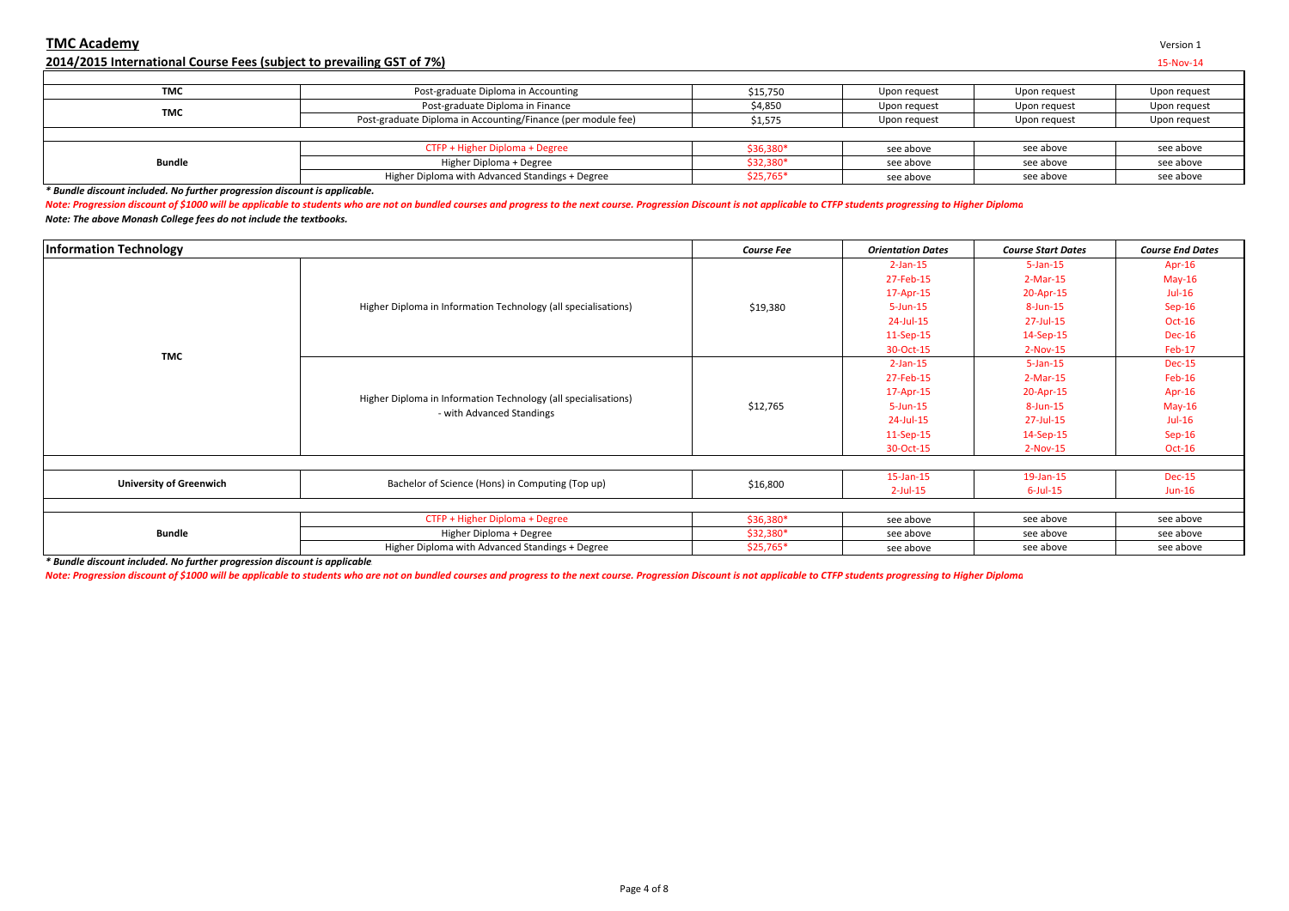# **2014/2015 International Course Fees (subject to prevailing GST of 7%)** 15-Nov-14

| <b>TMC</b>    | Post-graduate Diploma in Accounting                          | \$15,750   | Upon request | Upon request | Upon request |  |
|---------------|--------------------------------------------------------------|------------|--------------|--------------|--------------|--|
| TMC           | Post-graduate Diploma in Finance                             | \$4,850    | Upon request | Upon request | Upon request |  |
|               | Post-graduate Diploma in Accounting/Finance (per module fee) | \$1,575    | Upon request | Upon request | Upon request |  |
|               |                                                              |            |              |              |              |  |
|               | CTFP + Higher Diploma + Degree                               | \$36,380*  | see above    | see above    | see above    |  |
| <b>Bundle</b> | Higher Diploma + Degree                                      | \$32,380*  | see above    | see above    | see above    |  |
|               | Higher Diploma with Advanced Standings + Degree              | $$25,765*$ | see above    | see above    | see above    |  |

*\* Bundle discount included. No further progression discount is applicable.*

*Note: Progression discount of \$1000 will be applicable to students who are not on bundled courses and progress to the next course. Progression Discount is not applicable to CTFP students progressing to Higher Diploma Note: The above Monash College fees do not include the textbooks.*

| <b>Information Technology</b>  |                                                                                             | <b>Course Fee</b> | <b>Orientation Dates</b> | <b>Course Start Dates</b> | <b>Course End Dates</b> |
|--------------------------------|---------------------------------------------------------------------------------------------|-------------------|--------------------------|---------------------------|-------------------------|
|                                |                                                                                             |                   | $2$ -Jan-15              | $5 - Jan-15$              | Apr- $16$               |
|                                |                                                                                             |                   | 27-Feb-15                | $2-Mar-15$                | $May-16$                |
|                                |                                                                                             |                   | 17-Apr-15                | 20-Apr-15                 | $Jul-16$                |
|                                | Higher Diploma in Information Technology (all specialisations)                              | \$19,380          | $5 - Jun - 15$           | 8-Jun-15                  | $Sep-16$                |
|                                |                                                                                             |                   | 24-Jul-15                | 27-Jul-15                 | Oct-16                  |
|                                |                                                                                             |                   | $11-Sep-15$              | 14-Sep-15                 | <b>Dec-16</b>           |
| <b>TMC</b>                     |                                                                                             |                   | 30-Oct-15                | $2-Nov-15$                | Feb-17                  |
|                                | Higher Diploma in Information Technology (all specialisations)<br>- with Advanced Standings |                   | $2$ -Jan-15              | $5 - Jan - 15$            | <b>Dec-15</b>           |
|                                |                                                                                             |                   | 27-Feb-15                | $2-Mar-15$                | Feb-16                  |
|                                |                                                                                             |                   | 17-Apr-15                | 20-Apr-15                 | Apr-16                  |
|                                |                                                                                             | \$12,765          | $5 - Jun - 15$           | 8-Jun-15                  | $May-16$                |
|                                |                                                                                             |                   | 24-Jul-15                | 27-Jul-15                 | $Jul-16$                |
|                                |                                                                                             |                   | $11-Sep-15$              | 14-Sep-15                 | $Sep-16$                |
|                                |                                                                                             |                   | 30-Oct-15                | $2-Nov-15$                | $Oct-16$                |
|                                |                                                                                             |                   |                          |                           |                         |
| <b>University of Greenwich</b> | Bachelor of Science (Hons) in Computing (Top up)                                            | \$16,800          | $15$ -Jan- $15$          | 19-Jan-15                 | <b>Dec-15</b>           |
|                                |                                                                                             |                   | $2$ -Jul-15              | $6$ -Jul-15               | $Jun-16$                |
|                                |                                                                                             |                   |                          |                           |                         |
|                                | CTFP + Higher Diploma + Degree                                                              | \$36,380*         | see above                | see above                 | see above               |
| <b>Bundle</b>                  | Higher Diploma + Degree                                                                     | \$32,380*         | see above                | see above                 | see above               |
|                                | Higher Diploma with Advanced Standings + Degree                                             | $$25,765*$        | see above                | see above                 | see above               |

*\* Bundle discount included. No further progression discount is applicable.*

*Note: Progression discount of \$1000 will be applicable to students who are not on bundled courses and progress to the next course. Progression Discount is not applicable to CTFP students progressing to Higher Diploma*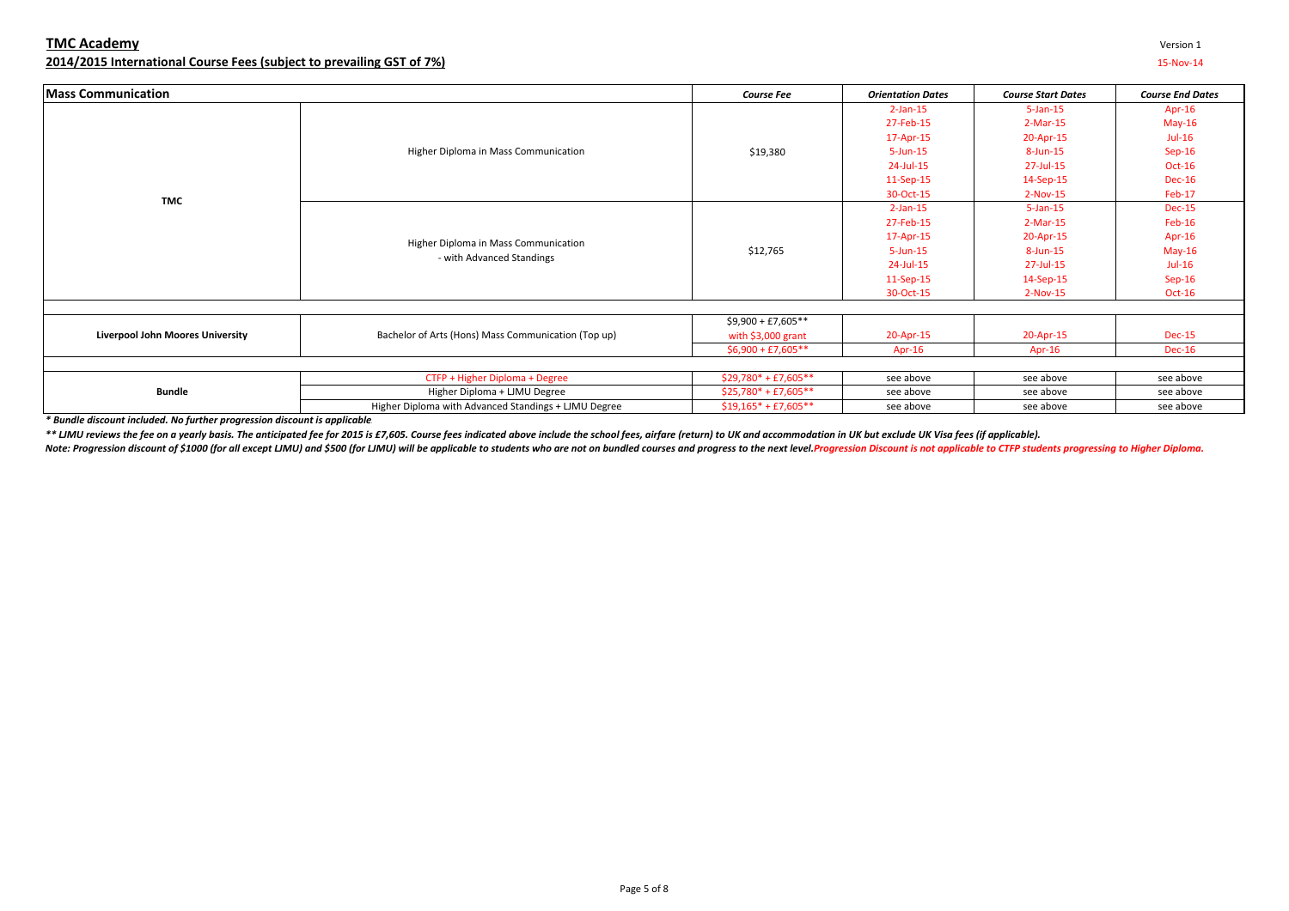## **TMC Academy** Version 1 **2014/2015 International Course Fees (subject to prevailing GST of 7%)** 15-Nov-14

| <b>Mass Communication</b>               |                                                                   | <b>Course Fee</b>                                                                  | <b>Orientation Dates</b> | <b>Course Start Dates</b> | <b>Course End Dates</b> |
|-----------------------------------------|-------------------------------------------------------------------|------------------------------------------------------------------------------------|--------------------------|---------------------------|-------------------------|
|                                         |                                                                   |                                                                                    | $2$ -Jan-15              | $5 - Jan - 15$            | Apr-16                  |
|                                         |                                                                   |                                                                                    | 27-Feb-15                | $2-Mar-15$                | $May-16$                |
|                                         |                                                                   |                                                                                    | 17-Apr-15                | 20-Apr-15                 | $Jul-16$                |
|                                         | Higher Diploma in Mass Communication                              | \$19,380                                                                           | $5 - Jun - 15$           | 8-Jun-15                  | $Sep-16$                |
|                                         |                                                                   |                                                                                    | 24-Jul-15                | 27-Jul-15                 | $Oct-16$                |
|                                         |                                                                   |                                                                                    | $11-Sep-15$              | 14-Sep-15                 | <b>Dec-16</b>           |
| TMC                                     |                                                                   |                                                                                    | 30-Oct-15                | $2-Nov-15$                | Feb-17                  |
|                                         |                                                                   | $2$ -Jan-15<br>$5 - Jan - 15$<br>27-Feb-15<br>$2-Mar-15$<br>17-Apr-15<br>20-Apr-15 | <b>Dec-15</b>            |                           |                         |
|                                         |                                                                   |                                                                                    | Feb-16                   |                           |                         |
|                                         | Higher Diploma in Mass Communication<br>- with Advanced Standings |                                                                                    |                          |                           | Apr-16                  |
|                                         |                                                                   | \$12,765                                                                           | $5$ -Jun-15              | 8-Jun-15                  | $May-16$                |
|                                         |                                                                   |                                                                                    | 24-Jul-15                | 27-Jul-15                 | $Jul-16$                |
|                                         |                                                                   |                                                                                    | $11-Sep-15$              | 14-Sep-15                 | $Sep-16$                |
|                                         |                                                                   |                                                                                    | 30-Oct-15                | $2-Nov-15$                | $Oct-16$                |
|                                         |                                                                   |                                                                                    |                          |                           |                         |
|                                         |                                                                   | $$9,900 + £7,605**$                                                                |                          |                           |                         |
| <b>Liverpool John Moores University</b> | Bachelor of Arts (Hons) Mass Communication (Top up)               | with $$3,000$ grant                                                                | 20-Apr-15                | 20-Apr-15                 | <b>Dec-15</b>           |
|                                         |                                                                   | $$6,900 + £7,605**$                                                                | Apr-16<br>Apr-16         |                           | <b>Dec-16</b>           |
|                                         |                                                                   |                                                                                    |                          |                           |                         |
|                                         | CTFP + Higher Diploma + Degree                                    | $$29,780*+£7,605**$                                                                | see above                | see above                 | see above               |
| <b>Bundle</b>                           | Higher Diploma + LJMU Degree                                      | $$25,780*+£7,605**$                                                                | see above                | see above                 | see above               |
|                                         | Higher Diploma with Advanced Standings + LJMU Degree              | $$19,165*+£7,605**$                                                                | see above                | see above                 | see above               |

*\* Bundle discount included. No further progression discount is applicable.*

\*\* LIMU reviews the fee on a yearly basis. The anticipated fee for 2015 is £7,605. Course fees indicated above include the school fees, airfare (return) to UK and accommodation in UK but exclude UK Visa fees (if applicable

Note: Progression discount of \$1000 (for all except LJMU) and \$500 (for LJMU) will be applicable to students who are not on bundled courses and progress to the next level. Progression Discount is not applicable to CTFP stu

Page 5 of 8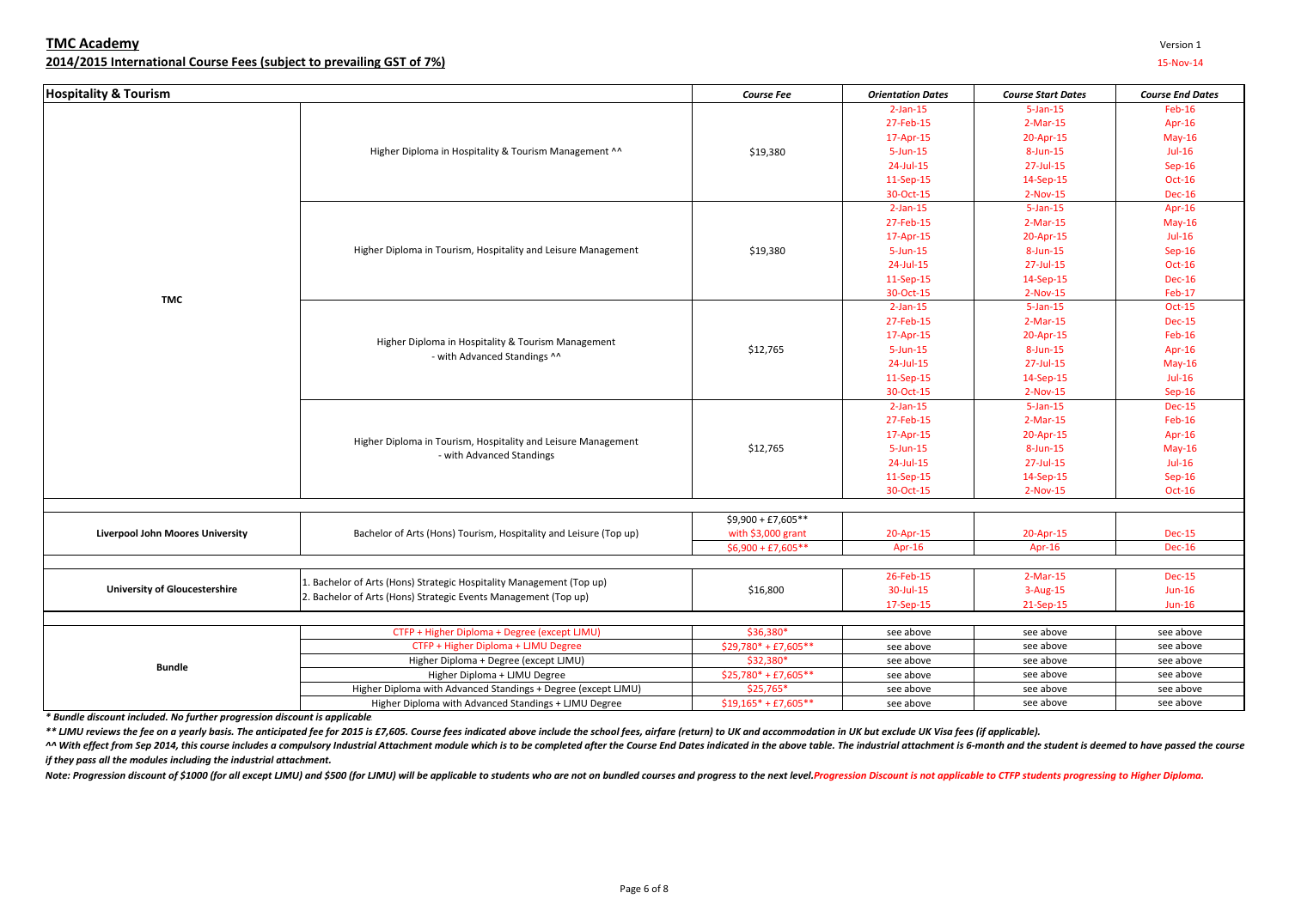| <b>Hospitality &amp; Tourism</b>        |                                                                                    | <b>Course Fee</b>      | <b>Orientation Dates</b> | <b>Course Start Dates</b> | <b>Course End Dates</b> |
|-----------------------------------------|------------------------------------------------------------------------------------|------------------------|--------------------------|---------------------------|-------------------------|
|                                         |                                                                                    |                        | $2$ -Jan-15              | $5 - Jan - 15$            | $Feb-16$                |
|                                         |                                                                                    |                        | 27-Feb-15                | $2-Mar-15$                | Apr-16                  |
|                                         |                                                                                    |                        | 17-Apr-15                | 20-Apr-15                 | $May-16$                |
|                                         | Higher Diploma in Hospitality & Tourism Management ^^                              | \$19,380               | $5 - Jun - 15$           | 8-Jun-15                  | $Jul-16$                |
|                                         |                                                                                    |                        | 24-Jul-15                | 27-Jul-15                 | $Sep-16$                |
|                                         |                                                                                    |                        | 11-Sep-15                | 14-Sep-15                 | $Oct-16$                |
|                                         |                                                                                    |                        | 30-Oct-15                | $2-Nov-15$                | <b>Dec-16</b>           |
|                                         |                                                                                    |                        | $2$ -Jan-15              | $5 - Jan - 15$            | Apr-16                  |
|                                         |                                                                                    |                        | 27-Feb-15                | $2-Mar-15$                | $May-16$                |
|                                         |                                                                                    |                        | 17-Apr-15                | 20-Apr-15                 | $Jul-16$                |
|                                         | Higher Diploma in Tourism, Hospitality and Leisure Management                      | \$19,380               | $5 - Jun - 15$           | 8-Jun-15                  | $Sep-16$                |
|                                         |                                                                                    |                        | 24-Jul-15                | 27-Jul-15                 | Oct-16                  |
|                                         |                                                                                    |                        | 11-Sep-15                | 14-Sep-15                 | <b>Dec-16</b>           |
|                                         |                                                                                    |                        | 30-Oct-15                | $2-Nov-15$                | Feb-17                  |
| TMC                                     |                                                                                    |                        | $2$ -Jan-15              | $5 - Jan - 15$            | <b>Oct-15</b>           |
|                                         |                                                                                    |                        | 27-Feb-15                | $2-Mar-15$                | <b>Dec-15</b>           |
|                                         | Higher Diploma in Hospitality & Tourism Management<br>- with Advanced Standings ^^ |                        | 17-Apr-15                | 20-Apr-15                 | $Feb-16$                |
|                                         |                                                                                    | \$12,765               | $5 - Jun - 15$           | 8-Jun-15                  | Apr-16                  |
|                                         |                                                                                    |                        | 24-Jul-15                | 27-Jul-15                 | $May-16$                |
|                                         |                                                                                    | 11-Sep-15<br>30-Oct-15 |                          | 14-Sep-15                 | $Jul-16$                |
|                                         |                                                                                    |                        | 2-Nov-15                 | Sep-16                    |                         |
|                                         |                                                                                    | $2$ -Jan-15            | $5 - Jan - 15$           | <b>Dec-15</b>             |                         |
|                                         | Higher Diploma in Tourism, Hospitality and Leisure Management                      |                        | 27-Feb-15                | $2-Mar-15$                | Feb-16                  |
|                                         |                                                                                    |                        | 17-Apr-15                | 20-Apr-15                 | Apr-16                  |
|                                         |                                                                                    | \$12,765               | $5 - Jun - 15$           | 8-Jun-15                  | $May-16$                |
|                                         | - with Advanced Standings                                                          |                        | 24-Jul-15                | 27-Jul-15                 | $Jul-16$                |
|                                         |                                                                                    |                        | 11-Sep-15                | 14-Sep-15                 | $Sep-16$                |
|                                         |                                                                                    |                        | 30-Oct-15                | $2-Nov-15$                | <b>Oct-16</b>           |
|                                         |                                                                                    |                        |                          |                           |                         |
|                                         |                                                                                    | $$9,900 + £7,605**$    |                          |                           |                         |
| <b>Liverpool John Moores University</b> | Bachelor of Arts (Hons) Tourism, Hospitality and Leisure (Top up)                  | with \$3,000 grant     | 20-Apr-15                | 20-Apr-15                 | <b>Dec-15</b>           |
|                                         |                                                                                    | $$6,900 + £7,605**$    | Apr-16                   | Apr-16                    | <b>Dec-16</b>           |
|                                         |                                                                                    |                        |                          |                           |                         |
|                                         | 1. Bachelor of Arts (Hons) Strategic Hospitality Management (Top up)               |                        | 26-Feb-15                | $2-Mar-15$                | <b>Dec-15</b>           |
| <b>University of Gloucestershire</b>    | 2. Bachelor of Arts (Hons) Strategic Events Management (Top up)                    | \$16,800               | 30-Jul-15                | 3-Aug-15                  | $Jun-16$                |
|                                         |                                                                                    |                        | 17-Sep-15                | 21-Sep-15                 | $Jun-16$                |
|                                         |                                                                                    |                        |                          |                           |                         |
|                                         | CTFP + Higher Diploma + Degree (except LJMU)                                       | \$36,380*              | see above                | see above                 | see above               |
|                                         | CTFP + Higher Diploma + LJMU Degree                                                | $$29,780*+£7,605**$    | see above                | see above                 | see above               |
| <b>Bundle</b>                           | Higher Diploma + Degree (except LJMU)                                              | \$32,380*              | see above                | see above                 | see above               |
|                                         | Higher Diploma + LJMU Degree                                                       | $$25,780*+£7,605**$    | see above                | see above                 | see above               |
|                                         | Higher Diploma with Advanced Standings + Degree (except LJMU)                      | \$25,765*              | see above                | see above                 | see above               |
|                                         | Higher Diploma with Advanced Standings + LJMU Degree                               | $$19,165* + £7,605**$  | see above                | see above                 | see above               |

**TMC Academy** Version 1 **2014/2015 International Course Fees (subject to prevailing GST of 7%)** 15-Nov-14

*\* Bundle discount included. No further progression discount is applicable.*

\*\* LIMU reviews the fee on a yearly basis. The anticipated fee for 2015 is £7,605. Course fees indicated above include the school fees, airfare (return) to UK and accommodation in UK but exclude UK Visa fees (if applicable

^^ With effect from Sep 2014, this course includes a compulsory Industrial Attachment module which is to be completed after the Course End Dates indicated in the above table. The industrial attachment is 6-month and the st *if they pass all the modules including the industrial attachment.* 

Note: Progression discount of \$1000 (for all except LJMU) and \$500 (for LJMU) will be applicable to students who are not on bundled courses and progress to the next level. Progression Discount is not applicable to CTFP stu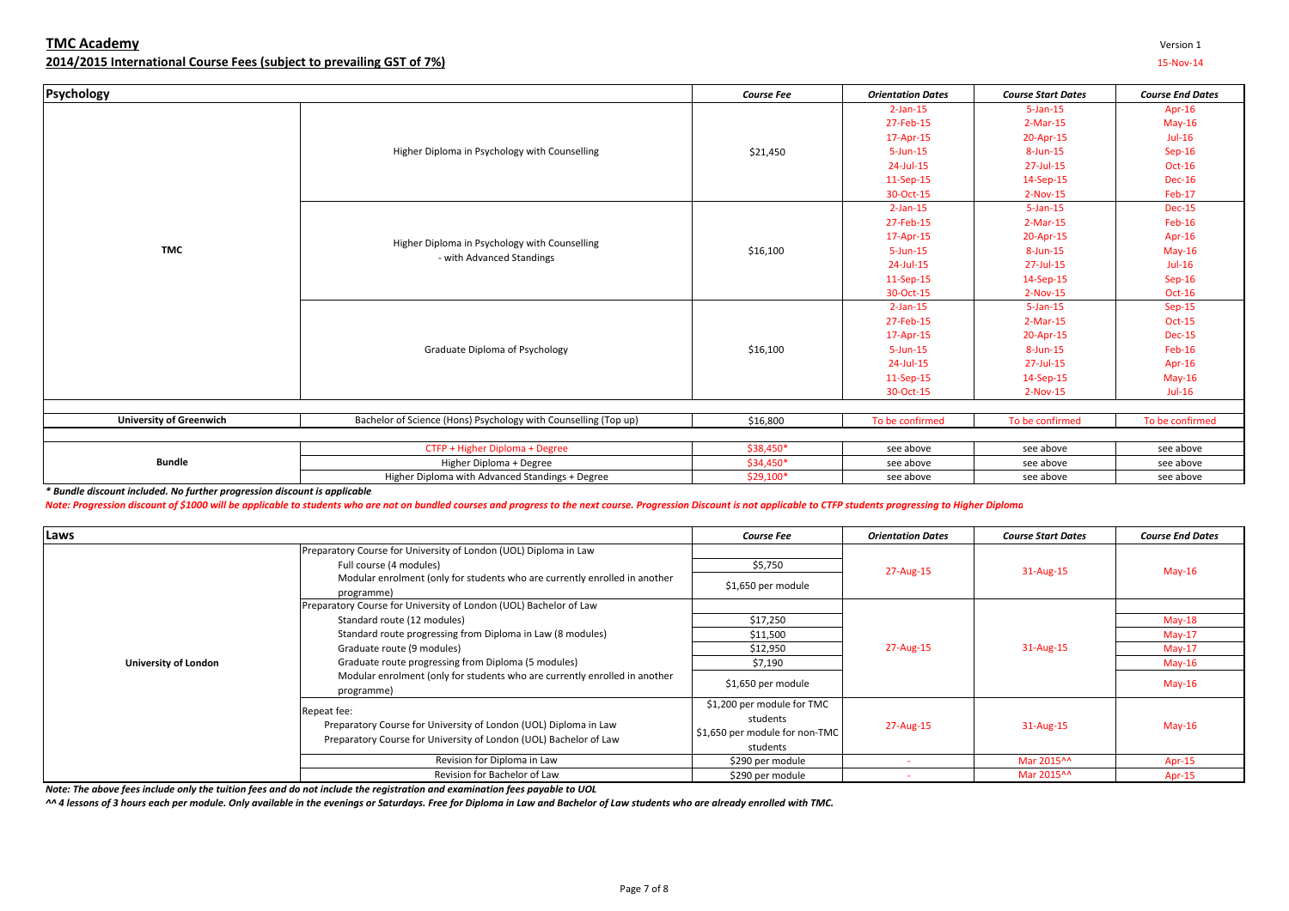|                                                                            |                                                                                                                                                                                                                           |                    | 11-Sep-15                | 14-Sep-15                 | Dec-16                  |
|----------------------------------------------------------------------------|---------------------------------------------------------------------------------------------------------------------------------------------------------------------------------------------------------------------------|--------------------|--------------------------|---------------------------|-------------------------|
|                                                                            |                                                                                                                                                                                                                           |                    | 30-Oct-15                | 2-Nov-15                  | Feb-17                  |
|                                                                            |                                                                                                                                                                                                                           |                    | $2$ -Jan-15              | $5$ -Jan-15               | <b>Dec-15</b>           |
|                                                                            |                                                                                                                                                                                                                           |                    | 27-Feb-15                | 2-Mar-15                  | Feb-16                  |
|                                                                            | Higher Diploma in Psychology with Counselling                                                                                                                                                                             |                    | 17-Apr-15                | 20-Apr-15                 | Apr-16                  |
| TMC                                                                        | - with Advanced Standings                                                                                                                                                                                                 | \$16,100           | $5 - Jun - 15$           | $8$ -Jun-15               | $May-16$                |
|                                                                            |                                                                                                                                                                                                                           |                    | 24-Jul-15                | 27-Jul-15                 | $Jul-16$                |
|                                                                            |                                                                                                                                                                                                                           |                    | $11-Sep-15$              | 14-Sep-15                 | $Sep-16$                |
|                                                                            |                                                                                                                                                                                                                           |                    | 30-Oct-15                | 2-Nov-15                  | <b>Oct-16</b>           |
|                                                                            |                                                                                                                                                                                                                           |                    | $2$ -Jan-15              | $5$ -Jan-15               | $Sep-15$                |
|                                                                            |                                                                                                                                                                                                                           |                    | 27-Feb-15                | 2-Mar-15                  | <b>Oct-15</b>           |
|                                                                            |                                                                                                                                                                                                                           |                    | 17-Apr-15                | 20-Apr-15                 | <b>Dec-15</b>           |
|                                                                            | Graduate Diploma of Psychology                                                                                                                                                                                            | \$16,100           | $5 - Jun - 15$           | $8$ -Jun-15               | Feb-16                  |
|                                                                            |                                                                                                                                                                                                                           |                    | 24-Jul-15                | 27-Jul-15                 | Apr-16                  |
|                                                                            |                                                                                                                                                                                                                           |                    | $11-Sep-15$              | 14-Sep-15                 | $May-16$                |
|                                                                            |                                                                                                                                                                                                                           |                    | 30-Oct-15                | 2-Nov-15                  | $Jul-16$                |
|                                                                            |                                                                                                                                                                                                                           |                    |                          |                           |                         |
| <b>University of Greenwich</b>                                             | Bachelor of Science (Hons) Psychology with Counselling (Top up)                                                                                                                                                           | \$16,800           | To be confirmed          | To be confirmed           | To be confirmed         |
|                                                                            |                                                                                                                                                                                                                           |                    |                          |                           |                         |
|                                                                            | CTFP + Higher Diploma + Degree                                                                                                                                                                                            | \$38,450*          | see above                | see above                 | see above               |
| <b>Bundle</b>                                                              | Higher Diploma + Degree                                                                                                                                                                                                   | \$34,450*          | see above                | see above                 | see above               |
|                                                                            | Higher Diploma with Advanced Standings + Degree                                                                                                                                                                           | \$29,100*          | see above                | see above                 | see above               |
| * Bundle discount included. No further progression discount is applicable. |                                                                                                                                                                                                                           |                    |                          |                           |                         |
|                                                                            | Note: Progression discount of \$1000 will be applicable to students who are not on bundled courses and progress to the next course. Progression Discount is not applicable to CTFP students progressing to Higher Diploma |                    |                          |                           |                         |
|                                                                            |                                                                                                                                                                                                                           |                    |                          |                           |                         |
| Laws                                                                       |                                                                                                                                                                                                                           | <b>Course Fee</b>  | <b>Orientation Dates</b> | <b>Course Start Dates</b> | <b>Course End Dates</b> |
|                                                                            | Preparatory Course for University of London (UOL) Diploma in Law                                                                                                                                                          |                    |                          |                           |                         |
|                                                                            | Full course (4 modules)                                                                                                                                                                                                   | \$5,750            | 27-Aug-15                | 31-Aug-15                 | $May-16$                |
|                                                                            | Modular enrolment (only for students who are currently enrolled in another                                                                                                                                                | \$1,650 per module |                          |                           |                         |
|                                                                            | programme)                                                                                                                                                                                                                |                    |                          |                           |                         |
|                                                                            | Preparatory Course for University of London (UOL) Bachelor of Law                                                                                                                                                         |                    |                          |                           |                         |
|                                                                            | Standard route (12 modules)                                                                                                                                                                                               | \$17,250           |                          |                           | $May-18$                |
|                                                                            | Standard route progressing from Diploma in Law (8 modules)                                                                                                                                                                | \$11,500           |                          |                           | $May-17$                |

Higher Diploma in Psychology with Counselling

# **TMC Academy** Version 1 **2014/2015 International Course Fees (subject to prevailing GST of 7%)** 15-Nov-14

**Psychology**

| Laws                        |                                                                                                                                                                                                                                                                                                                                                 | <b>Course Fee</b>                                                                    | <b>Orientation Dates</b> | <b>Course Start Dates</b> | <b>Course End Dates</b>                                  |
|-----------------------------|-------------------------------------------------------------------------------------------------------------------------------------------------------------------------------------------------------------------------------------------------------------------------------------------------------------------------------------------------|--------------------------------------------------------------------------------------|--------------------------|---------------------------|----------------------------------------------------------|
| <b>University of London</b> | Preparatory Course for University of London (UOL) Diploma in Law<br>Full course (4 modules)<br>Modular enrolment (only for students who are currently enrolled in another<br>programme)                                                                                                                                                         | \$5,750<br>\$1,650 per module                                                        | 27-Aug-15                | 31-Aug-15                 | $May-16$                                                 |
|                             | Preparatory Course for University of London (UOL) Bachelor of Law<br>Standard route (12 modules)<br>Standard route progressing from Diploma in Law (8 modules)<br>Graduate route (9 modules)<br>Graduate route progressing from Diploma (5 modules)<br>Modular enrolment (only for students who are currently enrolled in another<br>programme) | \$17,250<br>\$11,500<br>\$12,950<br>\$7,190<br>\$1,650 per module                    | 27-Aug-15                | 31-Aug-15                 | $May-18$<br>$May-17$<br>$May-17$<br>$May-16$<br>$May-16$ |
|                             | Repeat fee:<br>Preparatory Course for University of London (UOL) Diploma in Law<br>Preparatory Course for University of London (UOL) Bachelor of Law                                                                                                                                                                                            | \$1,200 per module for TMC<br>students<br>\$1,650 per module for non-TMC<br>students | 27-Aug-15                | 31-Aug-15                 | $May-16$                                                 |
|                             | Revision for Diploma in Law<br>Revision for Bachelor of Law                                                                                                                                                                                                                                                                                     | \$290 per module<br>\$290 per module                                                 |                          | Mar 2015^^<br>Mar 2015^^  | Apr-15<br>Apr-15                                         |

*Note: The above fees include only the tuition fees and do not include the registration and examination fees payable to UOL*

*^^ 4 lessons of 3 hours each per module. Only available in the evenings or Saturdays. Free for Diploma in Law and Bachelor of Law students who are already enrolled with TMC.*

**Course End Dates** 

Apr-16 May-16 Jul-16 Sep-16 Oct-16 Dec-16 Feb-17

*Course Fee Orientation Dates Course Start Dates Course End Dates*

5-Jan-152-Mar-15 20-Apr-15 8-Jun-1527-Jul-15

2-Jan-1527-Feb-15 17-Apr-15 5-Jun-1524-Jul-15

\$21,450